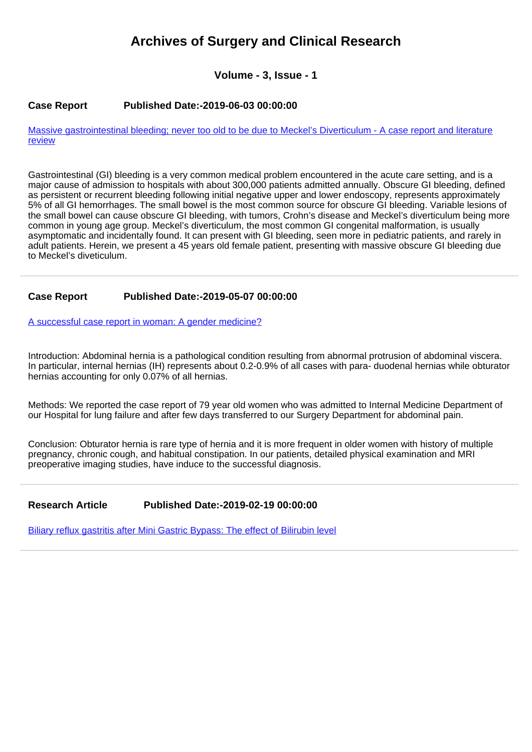# **Archives of Surgery and Clinical Research**

**Volume - 3, Issue - 1**

## **Case Report Published Date:-2019-06-03 00:00:00**

[Massive gastrointestinal bleeding; never too old to be due to Meckel's Diverticulum - A case report and literature](https://www.clinsurgeryjournal.com/articles/ascr-aid1030.pdf) [review](https://www.clinsurgeryjournal.com/articles/ascr-aid1030.pdf)

Gastrointestinal (GI) bleeding is a very common medical problem encountered in the acute care setting, and is a major cause of admission to hospitals with about 300,000 patients admitted annually. Obscure GI bleeding, defined as persistent or recurrent bleeding following initial negative upper and lower endoscopy, represents approximately 5% of all GI hemorrhages. The small bowel is the most common source for obscure GI bleeding. Variable lesions of the small bowel can cause obscure GI bleeding, with tumors, Crohn's disease and Meckel's diverticulum being more common in young age group. Meckel's diverticulum, the most common GI congenital malformation, is usually asymptomatic and incidentally found. It can present with GI bleeding, seen more in pediatric patients, and rarely in adult patients. Herein, we present a 45 years old female patient, presenting with massive obscure GI bleeding due to Meckel's diveticulum.

# **Case Report Published Date:-2019-05-07 00:00:00**

[A successful case report in woman: A gender medicine?](https://www.clinsurgeryjournal.com/articles/ascr-aid1029.pdf)

Introduction: Abdominal hernia is a pathological condition resulting from abnormal protrusion of abdominal viscera. In particular, internal hernias (IH) represents about 0.2-0.9% of all cases with para- duodenal hernias while obturator hernias accounting for only 0.07% of all hernias.

Methods: We reported the case report of 79 year old women who was admitted to Internal Medicine Department of our Hospital for lung failure and after few days transferred to our Surgery Department for abdominal pain.

Conclusion: Obturator hernia is rare type of hernia and it is more frequent in older women with history of multiple pregnancy, chronic cough, and habitual constipation. In our patients, detailed physical examination and MRI preoperative imaging studies, have induce to the successful diagnosis.

# **Research Article Published Date:-2019-02-19 00:00:00**

[Biliary reflux gastritis after Mini Gastric Bypass: The effect of Bilirubin level](https://www.clinsurgeryjournal.com/articles/ascr-aid1028.pdf)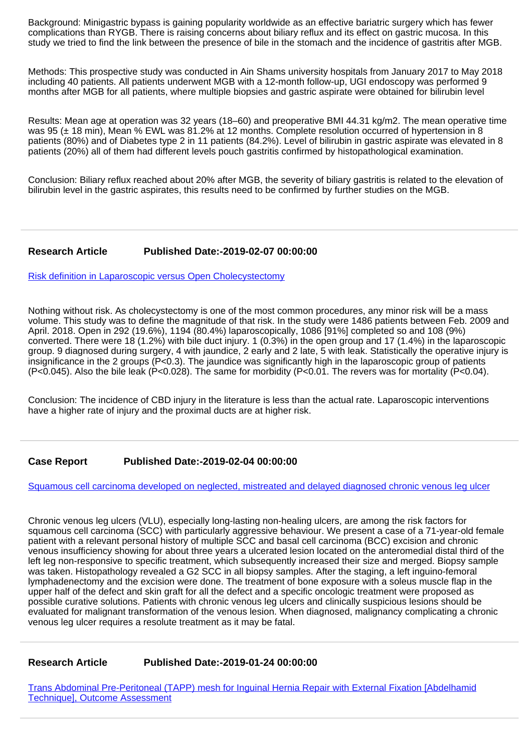Background: Minigastric bypass is gaining popularity worldwide as an effective bariatric surgery which has fewer complications than RYGB. There is raising concerns about biliary reflux and its effect on gastric mucosa. In this study we tried to find the link between the presence of bile in the stomach and the incidence of gastritis after MGB.

Methods: This prospective study was conducted in Ain Shams university hospitals from January 2017 to May 2018 including 40 patients. All patients underwent MGB with a 12-month follow-up, UGI endoscopy was performed 9 months after MGB for all patients, where multiple biopsies and gastric aspirate were obtained for bilirubin level

Results: Mean age at operation was 32 years (18–60) and preoperative BMI 44.31 kg/m2. The mean operative time was 95 ( $\pm$  18 min), Mean % EWL was 81.2% at 12 months. Complete resolution occurred of hypertension in 8 patients (80%) and of Diabetes type 2 in 11 patients (84.2%). Level of bilirubin in gastric aspirate was elevated in 8 patients (20%) all of them had different levels pouch gastritis confirmed by histopathological examination.

Conclusion: Biliary reflux reached about 20% after MGB, the severity of biliary gastritis is related to the elevation of bilirubin level in the gastric aspirates, this results need to be confirmed by further studies on the MGB.

# **Research Article Published Date:-2019-02-07 00:00:00**

[Risk definition in Laparoscopic versus Open Cholecystectomy](https://www.clinsurgeryjournal.com/articles/ascr-aid1027.pdf)

Nothing without risk. As cholecystectomy is one of the most common procedures, any minor risk will be a mass volume. This study was to define the magnitude of that risk. In the study were 1486 patients between Feb. 2009 and April. 2018. Open in 292 (19.6%), 1194 (80.4%) laparoscopically, 1086 [91%] completed so and 108 (9%) converted. There were 18 (1.2%) with bile duct injury. 1 (0.3%) in the open group and 17 (1.4%) in the laparoscopic group. 9 diagnosed during surgery, 4 with jaundice, 2 early and 2 late, 5 with leak. Statistically the operative injury is insignificance in the 2 groups (P<0.3). The jaundice was significantly high in the laparoscopic group of patients (P<0.045). Also the bile leak (P<0.028). The same for morbidity (P<0.01. The revers was for mortality (P<0.04).

Conclusion: The incidence of CBD injury in the literature is less than the actual rate. Laparoscopic interventions have a higher rate of injury and the proximal ducts are at higher risk.

# **Case Report Published Date:-2019-02-04 00:00:00**

[Squamous cell carcinoma developed on neglected, mistreated and delayed diagnosed chronic venous leg ulcer](https://www.clinsurgeryjournal.com/articles/ascr-aid1026.pdf)

Chronic venous leg ulcers (VLU), especially long-lasting non-healing ulcers, are among the risk factors for squamous cell carcinoma (SCC) with particularly aggressive behaviour. We present a case of a 71-year-old female patient with a relevant personal history of multiple SCC and basal cell carcinoma (BCC) excision and chronic venous insufficiency showing for about three years a ulcerated lesion located on the anteromedial distal third of the left leg non-responsive to specific treatment, which subsequently increased their size and merged. Biopsy sample was taken. Histopathology revealed a G2 SCC in all biopsy samples. After the staging, a left inguino-femoral lymphadenectomy and the excision were done. The treatment of bone exposure with a soleus muscle flap in the upper half of the defect and skin graft for all the defect and a specific oncologic treatment were proposed as possible curative solutions. Patients with chronic venous leg ulcers and clinically suspicious lesions should be evaluated for malignant transformation of the venous lesion. When diagnosed, malignancy complicating a chronic venous leg ulcer requires a resolute treatment as it may be fatal.

**Research Article Published Date:-2019-01-24 00:00:00**

[Trans Abdominal Pre-Peritoneal \(TAPP\) mesh for Inguinal Hernia Repair with External Fixation \[Abdelhamid](https://www.clinsurgeryjournal.com/articles/ascr-aid1025.pdf) [Technique\], Outcome Assessment](https://www.clinsurgeryjournal.com/articles/ascr-aid1025.pdf)